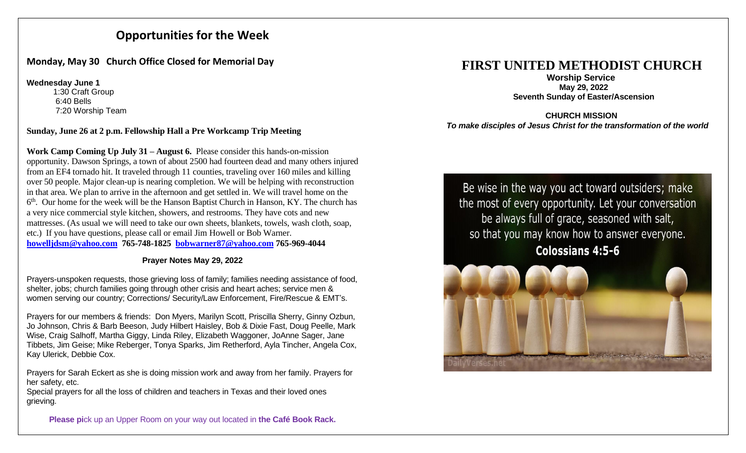# **Opportunities for the Week**

## **Monday, May 30 Church Office Closed for Memorial Day**

**Wednesday June 1**

1:30 Craft Group 6:40 Bells 7:20 Worship Team

## **Sunday, June 26 at 2 p.m. Fellowship Hall a Pre Workcamp Trip Meeting**

**Work Camp Coming Up July 31 – August 6.** Please consider this hands-on-mission opportunity. Dawson Springs, a town of about 2500 had fourteen dead and many others injured from an EF4 tornado hit. It traveled through 11 counties, traveling over 160 miles and killing over 50 people. Major clean-up is nearing completion. We will be helping with reconstruction in that area. We plan to arrive in the afternoon and get settled in. We will travel home on the 6<sup>th</sup>. Our home for the week will be the Hanson Baptist Church in Hanson, KY. The church has a very nice commercial style kitchen, showers, and restrooms. They have cots and new mattresses. (As usual we will need to take our own sheets, blankets, towels, wash cloth, soap, etc.) If you have questions, please call or email Jim Howell or Bob Warner. **[howelljdsm@yahoo.com](mailto:howelljdsm@yahoo.com) 765-748-1825 [bobwarner87@yahoo.com](mailto:bobwarner87@yahoo.com) 765-969-4044**

### **Prayer Notes May 29, 2022**

Prayers-unspoken requests, those grieving loss of family; families needing assistance of food, shelter, jobs; church families going through other crisis and heart aches; service men & women serving our country; Corrections/ Security/Law Enforcement, Fire/Rescue & EMT's.

Prayers for our members & friends: Don Myers, Marilyn Scott, Priscilla Sherry, Ginny Ozbun, Jo Johnson, Chris & Barb Beeson, Judy Hilbert Haisley, Bob & Dixie Fast, Doug Peelle, Mark Wise, Craig Salhoff, Martha Giggy, Linda Riley, Elizabeth Waggoner, JoAnne Sager, Jane Tibbets, Jim Geise; Mike Reberger, Tonya Sparks, Jim Retherford, Ayla Tincher, Angela Cox, Kay Ulerick, Debbie Cox.

Prayers for Sarah Eckert as she is doing mission work and away from her family. Prayers for her safety, etc.

Special prayers for all the loss of children and teachers in Texas and their loved ones grieving.

#### **Please pi**ck up an Upper Room on your way out located in **the Café Book Rack.**

# **FIRST UNITED METHODIST CHURCH**

 **Worship Service May 29, 2022 Seventh Sunday of Easter/Ascension** 

#### **CHURCH MISSION** *To make disciples of Jesus Christ for the transformation of the world*

Be wise in the way you act toward outsiders; make the most of every opportunity. Let your conversation be always full of grace, seasoned with salt, so that you may know how to answer everyone. **Colossians 4:5-6**